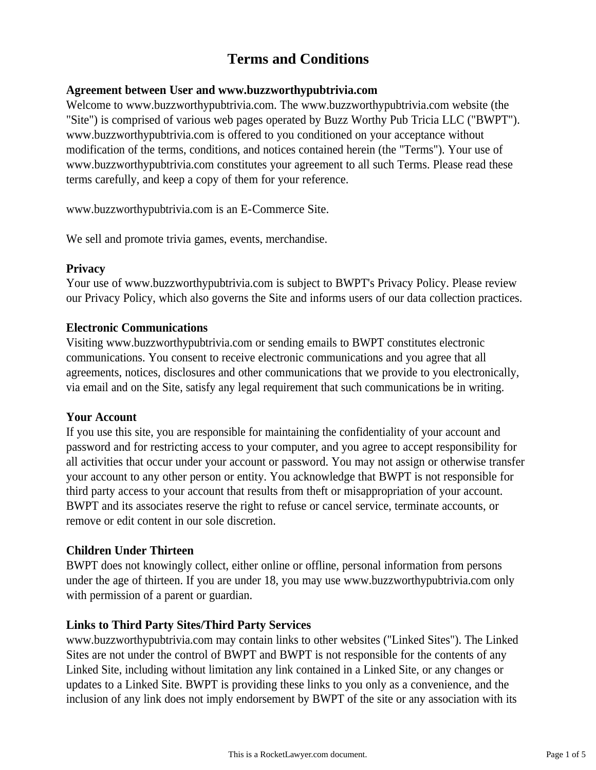# **Terms and Conditions**

#### **Agreement between User and www.buzzworthypubtrivia.com**

Welcome to www.buzzworthypubtrivia.com. The www.buzzworthypubtrivia.com website (the "Site") is comprised of various web pages operated by Buzz Worthy Pub Tricia LLC ("BWPT"). www.buzzworthypubtrivia.com is offered to you conditioned on your acceptance without modification of the terms, conditions, and notices contained herein (the "Terms"). Your use of www.buzzworthypubtrivia.com constitutes your agreement to all such Terms. Please read these terms carefully, and keep a copy of them for your reference.

www.buzzworthypubtrivia.com is an E-Commerce Site.

We sell and promote trivia games, events, merchandise.

#### **Privacy**

Your use of www.buzzworthypubtrivia.com is subject to BWPT's Privacy Policy. Please review our Privacy Policy, which also governs the Site and informs users of our data collection practices.

#### **Electronic Communications**

Visiting www.buzzworthypubtrivia.com or sending emails to BWPT constitutes electronic communications. You consent to receive electronic communications and you agree that all agreements, notices, disclosures and other communications that we provide to you electronically, via email and on the Site, satisfy any legal requirement that such communications be in writing.

#### **Your Account**

If you use this site, you are responsible for maintaining the confidentiality of your account and password and for restricting access to your computer, and you agree to accept responsibility for all activities that occur under your account or password. You may not assign or otherwise transfer your account to any other person or entity. You acknowledge that BWPT is not responsible for third party access to your account that results from theft or misappropriation of your account. BWPT and its associates reserve the right to refuse or cancel service, terminate accounts, or remove or edit content in our sole discretion.

# **Children Under Thirteen**

BWPT does not knowingly collect, either online or offline, personal information from persons under the age of thirteen. If you are under 18, you may use www.buzzworthypubtrivia.com only with permission of a parent or guardian.

# **Links to Third Party Sites/Third Party Services**

www.buzzworthypubtrivia.com may contain links to other websites ("Linked Sites"). The Linked Sites are not under the control of BWPT and BWPT is not responsible for the contents of any Linked Site, including without limitation any link contained in a Linked Site, or any changes or updates to a Linked Site. BWPT is providing these links to you only as a convenience, and the inclusion of any link does not imply endorsement by BWPT of the site or any association with its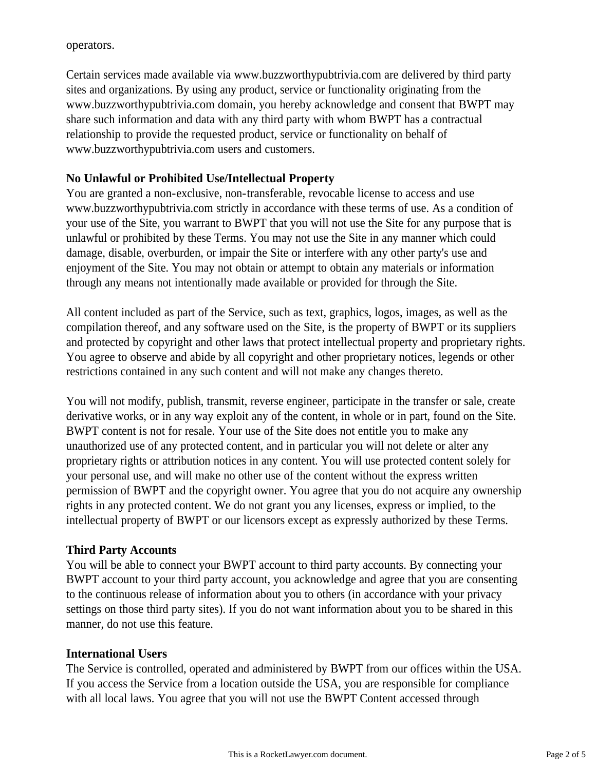#### operators.

Certain services made available via www.buzzworthypubtrivia.com are delivered by third party sites and organizations. By using any product, service or functionality originating from the www.buzzworthypubtrivia.com domain, you hereby acknowledge and consent that BWPT may share such information and data with any third party with whom BWPT has a contractual relationship to provide the requested product, service or functionality on behalf of www.buzzworthypubtrivia.com users and customers.

# **No Unlawful or Prohibited Use/Intellectual Property**

You are granted a non-exclusive, non-transferable, revocable license to access and use www.buzzworthypubtrivia.com strictly in accordance with these terms of use. As a condition of your use of the Site, you warrant to BWPT that you will not use the Site for any purpose that is unlawful or prohibited by these Terms. You may not use the Site in any manner which could damage, disable, overburden, or impair the Site or interfere with any other party's use and enjoyment of the Site. You may not obtain or attempt to obtain any materials or information through any means not intentionally made available or provided for through the Site.

All content included as part of the Service, such as text, graphics, logos, images, as well as the compilation thereof, and any software used on the Site, is the property of BWPT or its suppliers and protected by copyright and other laws that protect intellectual property and proprietary rights. You agree to observe and abide by all copyright and other proprietary notices, legends or other restrictions contained in any such content and will not make any changes thereto.

You will not modify, publish, transmit, reverse engineer, participate in the transfer or sale, create derivative works, or in any way exploit any of the content, in whole or in part, found on the Site. BWPT content is not for resale. Your use of the Site does not entitle you to make any unauthorized use of any protected content, and in particular you will not delete or alter any proprietary rights or attribution notices in any content. You will use protected content solely for your personal use, and will make no other use of the content without the express written permission of BWPT and the copyright owner. You agree that you do not acquire any ownership rights in any protected content. We do not grant you any licenses, express or implied, to the intellectual property of BWPT or our licensors except as expressly authorized by these Terms.

# **Third Party Accounts**

You will be able to connect your BWPT account to third party accounts. By connecting your BWPT account to your third party account, you acknowledge and agree that you are consenting to the continuous release of information about you to others (in accordance with your privacy settings on those third party sites). If you do not want information about you to be shared in this manner, do not use this feature.

# **International Users**

The Service is controlled, operated and administered by BWPT from our offices within the USA. If you access the Service from a location outside the USA, you are responsible for compliance with all local laws. You agree that you will not use the BWPT Content accessed through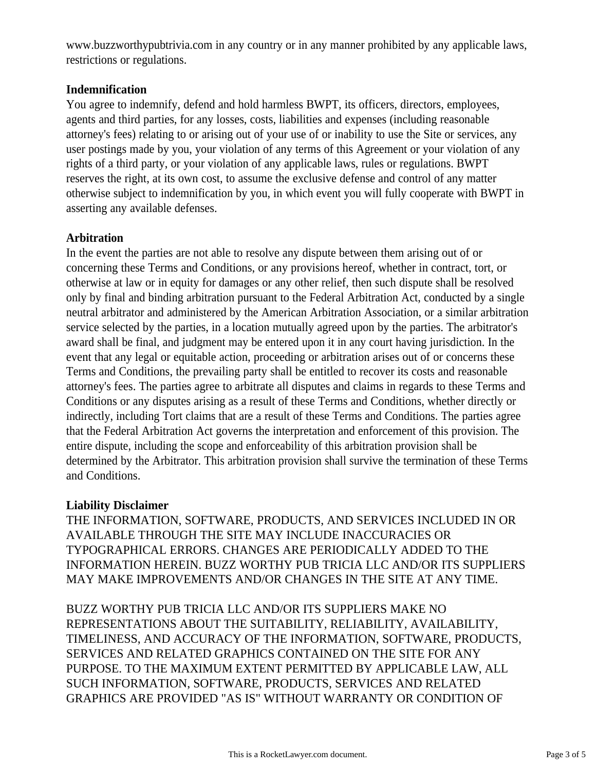www.buzzworthypubtrivia.com in any country or in any manner prohibited by any applicable laws, restrictions or regulations.

#### **Indemnification**

You agree to indemnify, defend and hold harmless BWPT, its officers, directors, employees, agents and third parties, for any losses, costs, liabilities and expenses (including reasonable attorney's fees) relating to or arising out of your use of or inability to use the Site or services, any user postings made by you, your violation of any terms of this Agreement or your violation of any rights of a third party, or your violation of any applicable laws, rules or regulations. BWPT reserves the right, at its own cost, to assume the exclusive defense and control of any matter otherwise subject to indemnification by you, in which event you will fully cooperate with BWPT in asserting any available defenses.

# **Arbitration**

In the event the parties are not able to resolve any dispute between them arising out of or concerning these Terms and Conditions, or any provisions hereof, whether in contract, tort, or otherwise at law or in equity for damages or any other relief, then such dispute shall be resolved only by final and binding arbitration pursuant to the Federal Arbitration Act, conducted by a single neutral arbitrator and administered by the American Arbitration Association, or a similar arbitration service selected by the parties, in a location mutually agreed upon by the parties. The arbitrator's award shall be final, and judgment may be entered upon it in any court having jurisdiction. In the event that any legal or equitable action, proceeding or arbitration arises out of or concerns these Terms and Conditions, the prevailing party shall be entitled to recover its costs and reasonable attorney's fees. The parties agree to arbitrate all disputes and claims in regards to these Terms and Conditions or any disputes arising as a result of these Terms and Conditions, whether directly or indirectly, including Tort claims that are a result of these Terms and Conditions. The parties agree that the Federal Arbitration Act governs the interpretation and enforcement of this provision. The entire dispute, including the scope and enforceability of this arbitration provision shall be determined by the Arbitrator. This arbitration provision shall survive the termination of these Terms and Conditions.

# **Liability Disclaimer**

THE INFORMATION, SOFTWARE, PRODUCTS, AND SERVICES INCLUDED IN OR AVAILABLE THROUGH THE SITE MAY INCLUDE INACCURACIES OR TYPOGRAPHICAL ERRORS. CHANGES ARE PERIODICALLY ADDED TO THE INFORMATION HEREIN. BUZZ WORTHY PUB TRICIA LLC AND/OR ITS SUPPLIERS MAY MAKE IMPROVEMENTS AND/OR CHANGES IN THE SITE AT ANY TIME.

BUZZ WORTHY PUB TRICIA LLC AND/OR ITS SUPPLIERS MAKE NO REPRESENTATIONS ABOUT THE SUITABILITY, RELIABILITY, AVAILABILITY, TIMELINESS, AND ACCURACY OF THE INFORMATION, SOFTWARE, PRODUCTS, SERVICES AND RELATED GRAPHICS CONTAINED ON THE SITE FOR ANY PURPOSE. TO THE MAXIMUM EXTENT PERMITTED BY APPLICABLE LAW, ALL SUCH INFORMATION, SOFTWARE, PRODUCTS, SERVICES AND RELATED GRAPHICS ARE PROVIDED "AS IS" WITHOUT WARRANTY OR CONDITION OF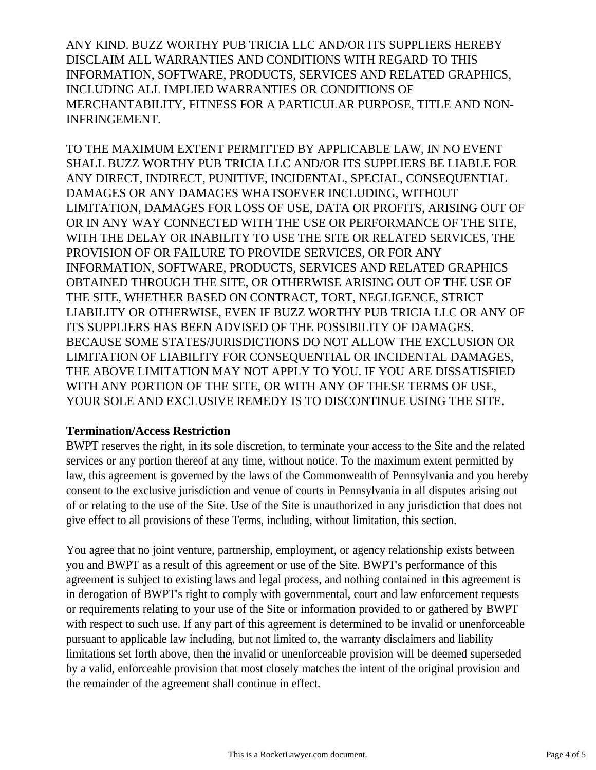ANY KIND. BUZZ WORTHY PUB TRICIA LLC AND/OR ITS SUPPLIERS HEREBY DISCLAIM ALL WARRANTIES AND CONDITIONS WITH REGARD TO THIS INFORMATION, SOFTWARE, PRODUCTS, SERVICES AND RELATED GRAPHICS, INCLUDING ALL IMPLIED WARRANTIES OR CONDITIONS OF MERCHANTABILITY, FITNESS FOR A PARTICULAR PURPOSE, TITLE AND NON-INFRINGEMENT.

TO THE MAXIMUM EXTENT PERMITTED BY APPLICABLE LAW, IN NO EVENT SHALL BUZZ WORTHY PUB TRICIA LLC AND/OR ITS SUPPLIERS BE LIABLE FOR ANY DIRECT, INDIRECT, PUNITIVE, INCIDENTAL, SPECIAL, CONSEQUENTIAL DAMAGES OR ANY DAMAGES WHATSOEVER INCLUDING, WITHOUT LIMITATION, DAMAGES FOR LOSS OF USE, DATA OR PROFITS, ARISING OUT OF OR IN ANY WAY CONNECTED WITH THE USE OR PERFORMANCE OF THE SITE, WITH THE DELAY OR INABILITY TO USE THE SITE OR RELATED SERVICES, THE PROVISION OF OR FAILURE TO PROVIDE SERVICES, OR FOR ANY INFORMATION, SOFTWARE, PRODUCTS, SERVICES AND RELATED GRAPHICS OBTAINED THROUGH THE SITE, OR OTHERWISE ARISING OUT OF THE USE OF THE SITE, WHETHER BASED ON CONTRACT, TORT, NEGLIGENCE, STRICT LIABILITY OR OTHERWISE, EVEN IF BUZZ WORTHY PUB TRICIA LLC OR ANY OF ITS SUPPLIERS HAS BEEN ADVISED OF THE POSSIBILITY OF DAMAGES. BECAUSE SOME STATES/JURISDICTIONS DO NOT ALLOW THE EXCLUSION OR LIMITATION OF LIABILITY FOR CONSEQUENTIAL OR INCIDENTAL DAMAGES, THE ABOVE LIMITATION MAY NOT APPLY TO YOU. IF YOU ARE DISSATISFIED WITH ANY PORTION OF THE SITE, OR WITH ANY OF THESE TERMS OF USE, YOUR SOLE AND EXCLUSIVE REMEDY IS TO DISCONTINUE USING THE SITE.

#### **Termination/Access Restriction**

BWPT reserves the right, in its sole discretion, to terminate your access to the Site and the related services or any portion thereof at any time, without notice. To the maximum extent permitted by law, this agreement is governed by the laws of the Commonwealth of Pennsylvania and you hereby consent to the exclusive jurisdiction and venue of courts in Pennsylvania in all disputes arising out of or relating to the use of the Site. Use of the Site is unauthorized in any jurisdiction that does not give effect to all provisions of these Terms, including, without limitation, this section.

You agree that no joint venture, partnership, employment, or agency relationship exists between you and BWPT as a result of this agreement or use of the Site. BWPT's performance of this agreement is subject to existing laws and legal process, and nothing contained in this agreement is in derogation of BWPT's right to comply with governmental, court and law enforcement requests or requirements relating to your use of the Site or information provided to or gathered by BWPT with respect to such use. If any part of this agreement is determined to be invalid or unenforceable pursuant to applicable law including, but not limited to, the warranty disclaimers and liability limitations set forth above, then the invalid or unenforceable provision will be deemed superseded by a valid, enforceable provision that most closely matches the intent of the original provision and the remainder of the agreement shall continue in effect.